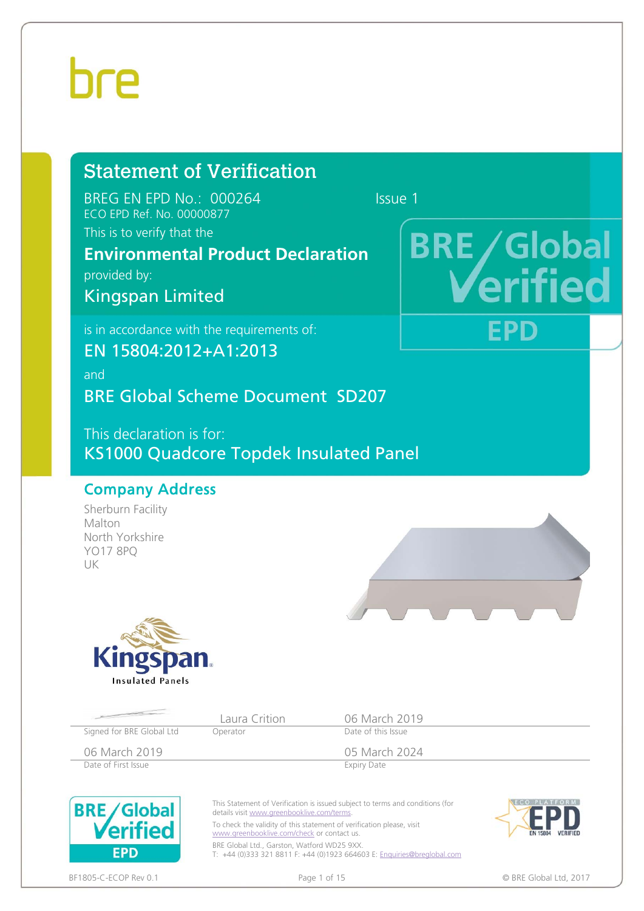### hre

### Statement of Verification

BREG EN EPD No.: 000264 Issue 1 ECO EPD Ref. No. 00000877

This is to verify that the

### **Environmental Product Declaration**

provided by:

Kingspan Limited

is in accordance with the requirements of:

EN 15804:2012+A1:2013

and

BRE Global Scheme Document SD207

This declaration is for: KS1000 Quadcore Topdek Insulated Panel

#### Company Address

Sherburn Facility Malton North Yorkshire YO17 8PQ UK





www.greenbooklive.com/check or contact us. BRE Global Ltd., Garston, Watford WD25 9XX. T: +44 (0)333 321 8811 F: +44 (0)1923 664603 E: Enquiries@breglobal.com

**EPD** 

# **BRE** / Global

FPD



BF1805-C-ECOP Rev 0.1 **Details a contract that the contract of the Page 1 of 15** C BRE Global Ltd, 2017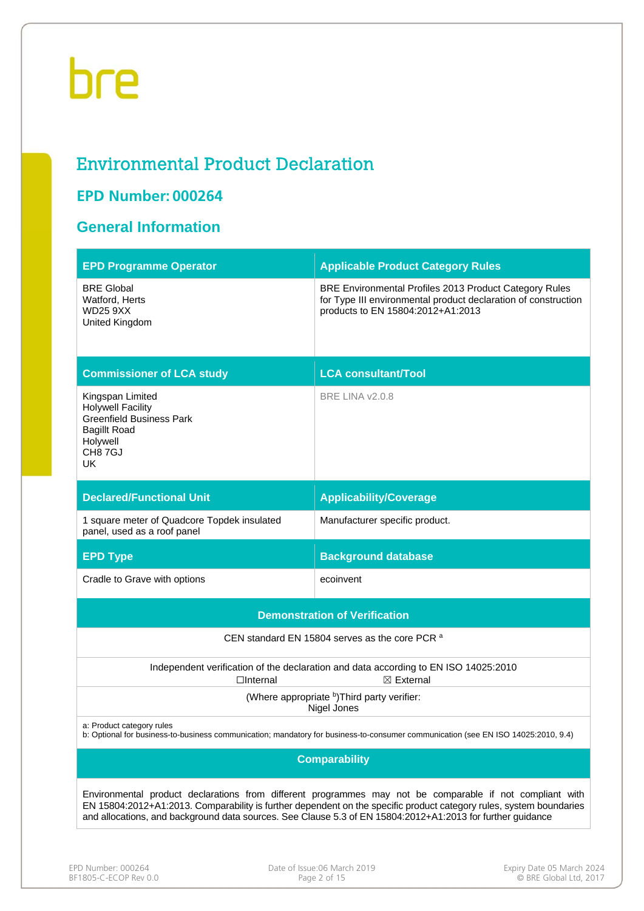#### Environmental Product Declaration

#### **EPD Number: 000264**

#### **General Information**

| <b>EPD Programme Operator</b>                                                                                                                                                                                                                                                                                                                 | <b>Applicable Product Category Rules</b>                                                                                                                      |  |  |  |  |
|-----------------------------------------------------------------------------------------------------------------------------------------------------------------------------------------------------------------------------------------------------------------------------------------------------------------------------------------------|---------------------------------------------------------------------------------------------------------------------------------------------------------------|--|--|--|--|
| <b>BRE Global</b><br>Watford, Herts<br><b>WD25 9XX</b><br>United Kingdom                                                                                                                                                                                                                                                                      | BRE Environmental Profiles 2013 Product Category Rules<br>for Type III environmental product declaration of construction<br>products to EN 15804:2012+A1:2013 |  |  |  |  |
| <b>Commissioner of LCA study</b>                                                                                                                                                                                                                                                                                                              | <b>LCA consultant/Tool</b>                                                                                                                                    |  |  |  |  |
| Kingspan Limited<br><b>Holywell Facility</b><br><b>Greenfield Business Park</b><br><b>Bagillt Road</b><br>Holywell<br>CH87GJ<br>UK.                                                                                                                                                                                                           | <b>BRE LINA v2.0.8</b>                                                                                                                                        |  |  |  |  |
| <b>Declared/Functional Unit</b>                                                                                                                                                                                                                                                                                                               | <b>Applicability/Coverage</b>                                                                                                                                 |  |  |  |  |
| 1 square meter of Quadcore Topdek insulated<br>panel, used as a roof panel                                                                                                                                                                                                                                                                    | Manufacturer specific product.                                                                                                                                |  |  |  |  |
| <b>EPD Type</b>                                                                                                                                                                                                                                                                                                                               | <b>Background database</b>                                                                                                                                    |  |  |  |  |
| Cradle to Grave with options                                                                                                                                                                                                                                                                                                                  | ecoinvent                                                                                                                                                     |  |  |  |  |
|                                                                                                                                                                                                                                                                                                                                               | <b>Demonstration of Verification</b>                                                                                                                          |  |  |  |  |
|                                                                                                                                                                                                                                                                                                                                               | CEN standard EN 15804 serves as the core PCR a                                                                                                                |  |  |  |  |
| $\Box$ Internal                                                                                                                                                                                                                                                                                                                               | Independent verification of the declaration and data according to EN ISO 14025:2010<br>$\boxtimes$ External                                                   |  |  |  |  |
|                                                                                                                                                                                                                                                                                                                                               | (Where appropriate b) Third party verifier:<br>Nigel Jones                                                                                                    |  |  |  |  |
| a: Product category rules                                                                                                                                                                                                                                                                                                                     | b: Optional for business-to-business communication; mandatory for business-to-consumer communication (see EN ISO 14025:2010, 9.4)                             |  |  |  |  |
|                                                                                                                                                                                                                                                                                                                                               | <b>Comparability</b>                                                                                                                                          |  |  |  |  |
| Environmental product declarations from different programmes may not be comparable if not compliant with<br>EN 15804:2012+A1:2013. Comparability is further dependent on the specific product category rules, system boundaries<br>and allocations, and background data sources. See Clause 5.3 of EN 15804:2012+A1:2013 for further guidance |                                                                                                                                                               |  |  |  |  |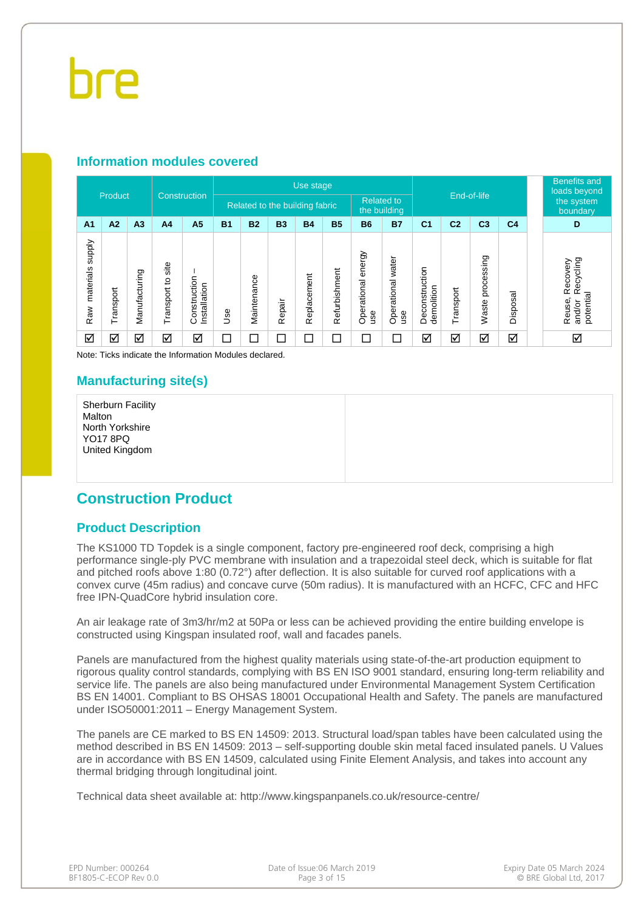#### **Information modules covered**

|                                  |                      |                |                      |                              |           | Use stage   |           |                                |               |                              |                          |                              |                |                     | <b>Benefits and</b><br>loads beyond |                                                        |
|----------------------------------|----------------------|----------------|----------------------|------------------------------|-----------|-------------|-----------|--------------------------------|---------------|------------------------------|--------------------------|------------------------------|----------------|---------------------|-------------------------------------|--------------------------------------------------------|
| Product                          |                      |                |                      | Construction                 |           |             |           | Related to the building fabric |               | <b>Related to</b>            | the building             | End-of-life                  |                |                     | the system<br>boundary              |                                                        |
| A <sub>1</sub>                   | A2                   | A <sub>3</sub> | A <sub>4</sub>       | A <sub>5</sub>               | <b>B1</b> | <b>B2</b>   | <b>B3</b> | <b>B4</b>                      | <b>B5</b>     | <b>B6</b>                    | <b>B7</b>                | C <sub>1</sub>               | C <sub>2</sub> | C <sub>3</sub>      | C <sub>4</sub>                      | D                                                      |
| <b>Addns</b><br>materials<br>Raw | Transport            | Manufacturing  | site<br>Transport to | Construction<br>Installation | 9se       | Maintenance | Repair    | Replacement                    | Refurbishment | energy<br>Operational<br>use | Operational water<br>use | Deconstruction<br>demolition | Transport      | processing<br>Waste | Disposal                            | Recycling<br>Recovery<br>potential<br>Reuse,<br>and/or |
| ☑                                | $\blacktriangledown$ | ☑              | ☑                    | ☑                            | コ         | ⊏           | $\Box$    | $\Box$                         | $\Box$        | $\Box$                       | С                        | ☑                            | ☑              | ☑                   | ☑                                   | ☑                                                      |

Note: Ticks indicate the Information Modules declared.

#### **Manufacturing site(s)**

Sherburn Facility Malton North Yorkshire YO17 8PQ United Kingdom

#### **Construction Product**

#### **Product Description**

The KS1000 TD Topdek is a single component, factory pre-engineered roof deck, comprising a high performance single-ply PVC membrane with insulation and a trapezoidal steel deck, which is suitable for flat and pitched roofs above 1:80 (0.72°) after deflection. It is also suitable for curved roof applications with a convex curve (45m radius) and concave curve (50m radius). It is manufactured with an HCFC, CFC and HFC free IPN-QuadCore hybrid insulation core.

An air leakage rate of 3m3/hr/m2 at 50Pa or less can be achieved providing the entire building envelope is constructed using Kingspan insulated roof, wall and facades panels.

Panels are manufactured from the highest quality materials using state-of-the-art production equipment to rigorous quality control standards, complying with BS EN ISO 9001 standard, ensuring long-term reliability and service life. The panels are also being manufactured under Environmental Management System Certification BS EN 14001. Compliant to BS OHSAS 18001 Occupational Health and Safety. The panels are manufactured under ISO50001:2011 – Energy Management System.

The panels are CE marked to BS EN 14509: 2013. Structural load/span tables have been calculated using the method described in BS EN 14509: 2013 – self-supporting double skin metal faced insulated panels. U Values are in accordance with BS EN 14509, calculated using Finite Element Analysis, and takes into account any thermal bridging through longitudinal joint.

Technical data sheet available at: http://www.kingspanpanels.co.uk/resource-centre/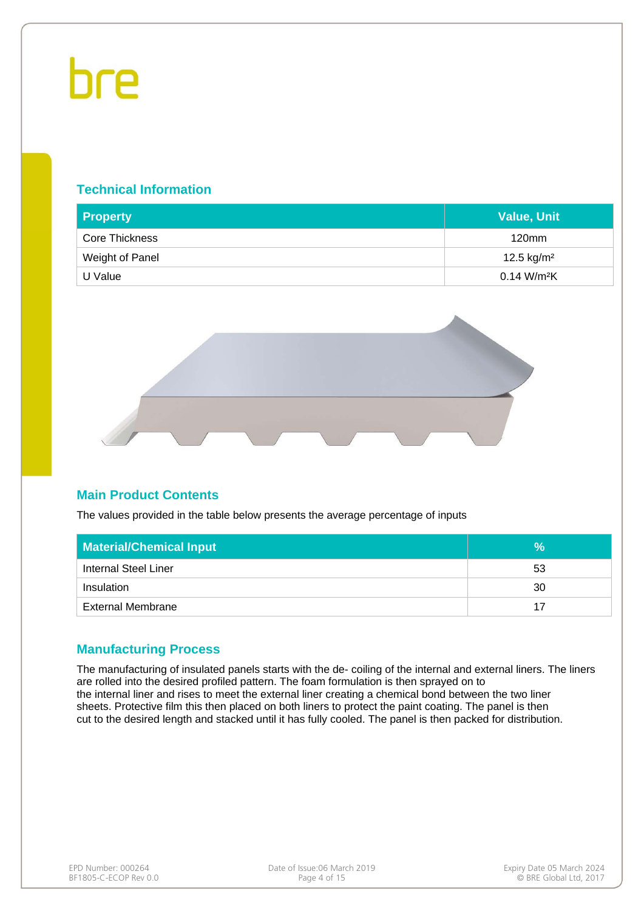#### **Technical Information**

| <b>Property</b> | <b>Value, Unit</b>        |
|-----------------|---------------------------|
| Core Thickness  | $120$ mm                  |
| Weight of Panel | 12.5 kg/m <sup>2</sup>    |
| U Value         | $0.14$ W/m <sup>2</sup> K |



#### **Main Product Contents**

The values provided in the table below presents the average percentage of inputs

| <b>Material/Chemical Input</b> | $\%$ |
|--------------------------------|------|
| <b>Internal Steel Liner</b>    | 53   |
| Insulation                     | 30   |
| <b>External Membrane</b>       | 17   |

#### **Manufacturing Process**

The manufacturing of insulated panels starts with the de- coiling of the internal and external liners. The liners are rolled into the desired profiled pattern. The foam formulation is then sprayed on to the internal liner and rises to meet the external liner creating a chemical bond between the two liner sheets. Protective film this then placed on both liners to protect the paint coating. The panel is then cut to the desired length and stacked until it has fully cooled. The panel is then packed for distribution.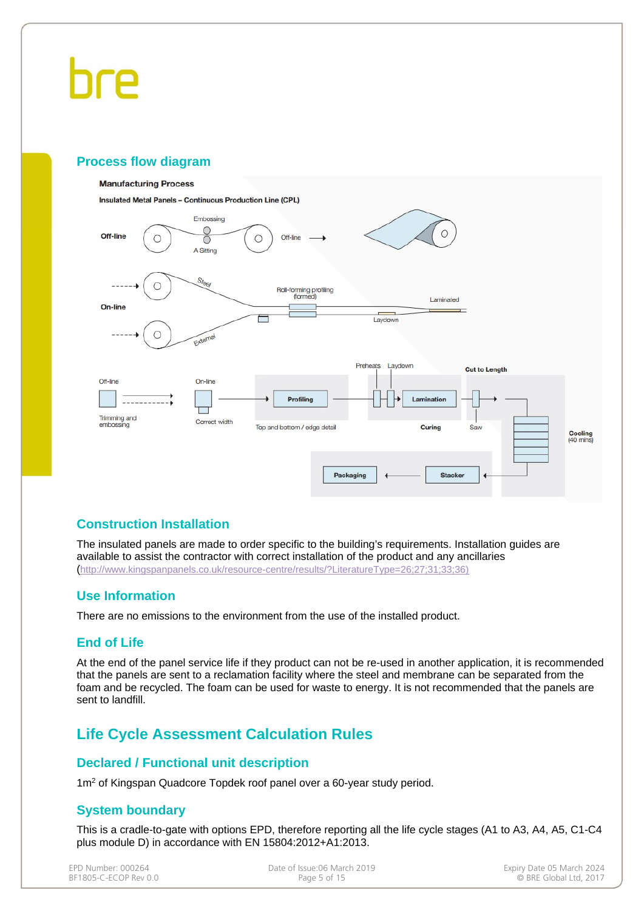#### **Process flow diagram**

#### **Manufacturing Process**

**Insulated Metal Panels - Continuous Production Line (CPL)** 



#### **Construction Installation**

The insulated panels are made to order specific to the building's requirements. Installation guides are available to assist the contractor with correct installation of the product and any ancillaries (http://www.kingspanpanels.co.uk/resource-centre/results/?LiteratureType=26;27;31;33;36)

#### **Use Information**

There are no emissions to the environment from the use of the installed product.

#### **End of Life**

At the end of the panel service life if they product can not be re-used in another application, it is recommended that the panels are sent to a reclamation facility where the steel and membrane can be separated from the foam and be recycled. The foam can be used for waste to energy. It is not recommended that the panels are sent to landfill.

#### **Life Cycle Assessment Calculation Rules**

#### **Declared / Functional unit description**

1m<sup>2</sup> of Kingspan Quadcore Topdek roof panel over a 60-year study period.

#### **System boundary**

This is a cradle-to-gate with options EPD, therefore reporting all the life cycle stages (A1 to A3, A4, A5, C1-C4 plus module D) in accordance with EN 15804:2012+A1:2013.

BF1805-C-ECOP Rev 0.0

EPD Number: 000264 **Date of Issue:06 March 2019** Date of Issue:06 March 2019 Expiry Date 05 March 2024<br>BF1805-C-ECOP Rev 0.0 **Date of Issue:06 hand BF1805-C-ECOP Rev** 0.0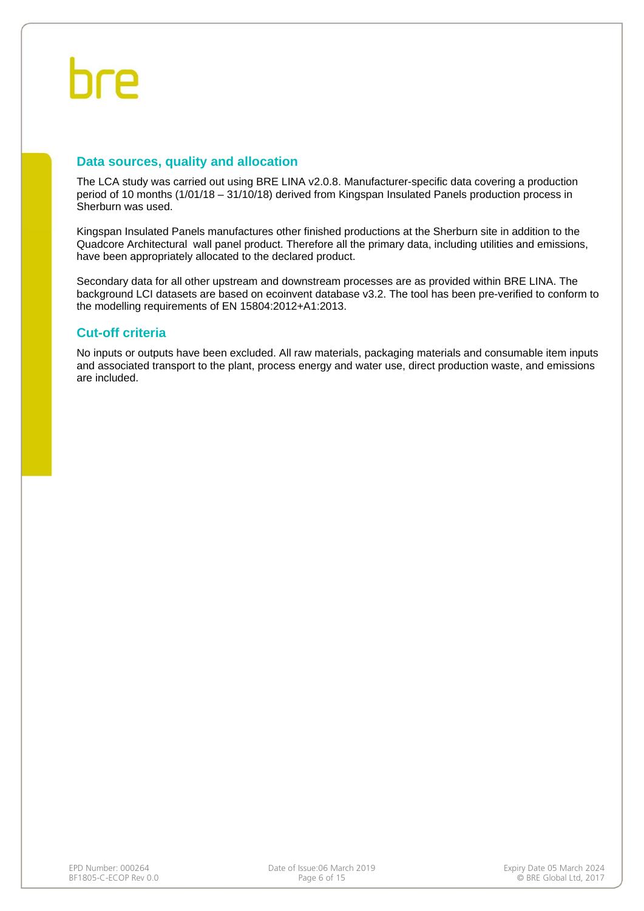#### **Data sources, quality and allocation**

The LCA study was carried out using BRE LINA v2.0.8. Manufacturer-specific data covering a production period of 10 months (1/01/18 – 31/10/18) derived from Kingspan Insulated Panels production process in Sherburn was used.

Kingspan Insulated Panels manufactures other finished productions at the Sherburn site in addition to the Quadcore Architectural wall panel product. Therefore all the primary data, including utilities and emissions, have been appropriately allocated to the declared product.

Secondary data for all other upstream and downstream processes are as provided within BRE LINA. The background LCI datasets are based on ecoinvent database v3.2. The tool has been pre-verified to conform to the modelling requirements of EN 15804:2012+A1:2013.

#### **Cut-off criteria**

No inputs or outputs have been excluded. All raw materials, packaging materials and consumable item inputs and associated transport to the plant, process energy and water use, direct production waste, and emissions are included.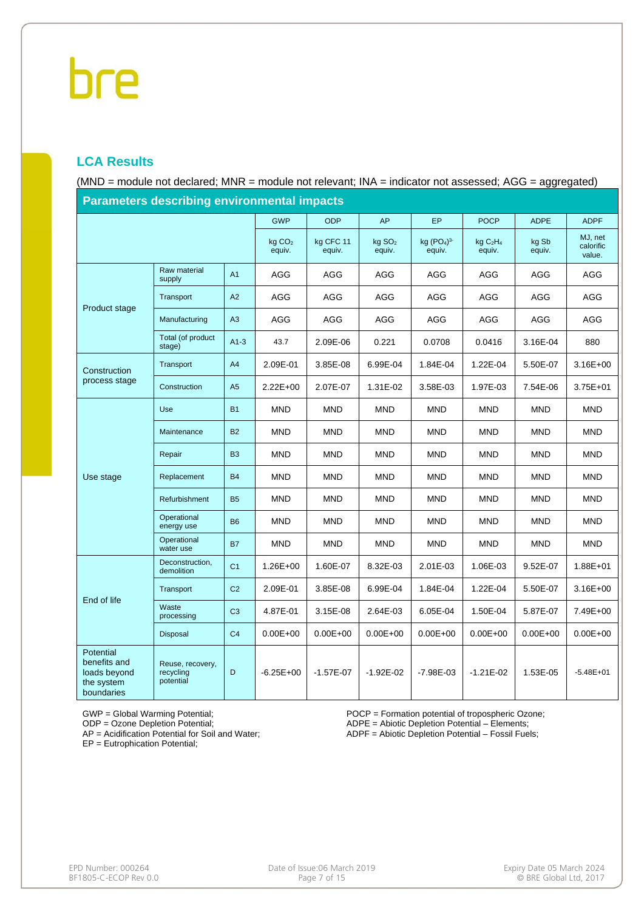#### **LCA Results**

(MND = module not declared; MNR = module not relevant; INA = indicator not assessed; AGG = aggregated)

| <b>Parameters describing environmental impacts</b>                    |                                            |                |                              |                     |                              |                       |                                           |                 |                                |  |
|-----------------------------------------------------------------------|--------------------------------------------|----------------|------------------------------|---------------------|------------------------------|-----------------------|-------------------------------------------|-----------------|--------------------------------|--|
|                                                                       |                                            |                | <b>GWP</b>                   | <b>ODP</b>          | AP                           | <b>EP</b>             | <b>POCP</b>                               | <b>ADPE</b>     | <b>ADPF</b>                    |  |
|                                                                       |                                            |                | kg CO <sub>2</sub><br>equiv. | kg CFC 11<br>equiv. | kg SO <sub>2</sub><br>equiv. | kg $(PO4)3$<br>equiv. | kgC <sub>2</sub> H <sub>4</sub><br>equiv. | kg Sb<br>equiv. | MJ, net<br>calorific<br>value. |  |
|                                                                       | Raw material<br>supply                     | A <sub>1</sub> | AGG                          | AGG                 | <b>AGG</b>                   | AGG                   | AGG                                       | AGG             | AGG                            |  |
| Product stage                                                         | Transport                                  | A2             | AGG                          | AGG                 | AGG                          | AGG                   | AGG                                       | AGG             | AGG                            |  |
|                                                                       | Manufacturing                              | A3             | AGG                          | AGG                 | AGG                          | AGG                   | AGG                                       | AGG             | AGG                            |  |
|                                                                       | Total (of product<br>stage)                | $A1-3$         | 43.7                         | 2.09E-06            | 0.221                        | 0.0708                | 0.0416                                    | 3.16E-04        | 880                            |  |
| Construction                                                          | Transport                                  | A4             | 2.09E-01                     | 3.85E-08            | 6.99E-04                     | 1.84E-04              | 1.22E-04                                  | 5.50E-07        | $3.16E + 00$                   |  |
| process stage                                                         | Construction                               | A <sub>5</sub> | $2.22E+00$                   | 2.07E-07            | 1.31E-02                     | 3.58E-03              | 1.97E-03                                  | 7.54E-06        | $3.75E + 01$                   |  |
|                                                                       | Use                                        | <b>B1</b>      | <b>MND</b>                   | <b>MND</b>          | <b>MND</b>                   | MND                   | <b>MND</b>                                | <b>MND</b>      | <b>MND</b>                     |  |
|                                                                       | Maintenance                                | <b>B2</b>      | <b>MND</b>                   | <b>MND</b>          | <b>MND</b>                   | <b>MND</b>            | <b>MND</b>                                | <b>MND</b>      | <b>MND</b>                     |  |
|                                                                       | Repair                                     | <b>B3</b>      | <b>MND</b>                   | <b>MND</b>          | <b>MND</b>                   | <b>MND</b>            | <b>MND</b>                                | <b>MND</b>      | <b>MND</b>                     |  |
| Use stage                                                             | Replacement                                | <b>B4</b>      | <b>MND</b>                   | <b>MND</b>          | <b>MND</b>                   | <b>MND</b>            | <b>MND</b>                                | <b>MND</b>      | <b>MND</b>                     |  |
|                                                                       | Refurbishment                              | <b>B5</b>      | <b>MND</b>                   | <b>MND</b>          | <b>MND</b>                   | MND                   | <b>MND</b>                                | MND             | <b>MND</b>                     |  |
|                                                                       | Operational<br>energy use                  | <b>B6</b>      | <b>MND</b>                   | <b>MND</b>          | <b>MND</b>                   | MND                   | <b>MND</b>                                | <b>MND</b>      | <b>MND</b>                     |  |
|                                                                       | Operational<br>water use                   | <b>B7</b>      | <b>MND</b>                   | <b>MND</b>          | <b>MND</b>                   | <b>MND</b>            | <b>MND</b>                                | <b>MND</b>      | <b>MND</b>                     |  |
|                                                                       | Deconstruction,<br>demolition              | C <sub>1</sub> | $1.26E + 00$                 | 1.60E-07            | 8.32E-03                     | 2.01E-03              | 1.06E-03                                  | 9.52E-07        | $1.88E + 01$                   |  |
|                                                                       | Transport                                  | C <sub>2</sub> | 2.09E-01                     | 3.85E-08            | 6.99E-04                     | 1.84E-04              | 1.22E-04                                  | 5.50E-07        | $3.16E + 00$                   |  |
| End of life                                                           | Waste<br>processing                        | C <sub>3</sub> | 4.87E-01                     | 3.15E-08            | 2.64E-03                     | 6.05E-04              | 1.50E-04                                  | 5.87E-07        | 7.49E+00                       |  |
|                                                                       | Disposal                                   | C <sub>4</sub> | $0.00E + 00$                 | $0.00E + 00$        | $0.00E + 00$                 | $0.00E + 00$          | $0.00E + 00$                              | $0.00E + 00$    | $0.00E + 00$                   |  |
| Potential<br>benefits and<br>loads beyond<br>the system<br>boundaries | Reuse, recovery,<br>recycling<br>potential | D              | $-6.25E + 00$                | $-1.57E-07$         | $-1.92E - 02$                | $-7.98E - 03$         | $-1.21E-02$                               | 1.53E-05        | $-5.48E + 01$                  |  |

GWP = Global Warming Potential;

ODP = Ozone Depletion Potential;

AP = Acidification Potential for Soil and Water;

EP = Eutrophication Potential;

POCP = Formation potential of tropospheric Ozone;

- ADPE = Abiotic Depletion Potential Elements;
- ADPF = Abiotic Depletion Potential Fossil Fuels;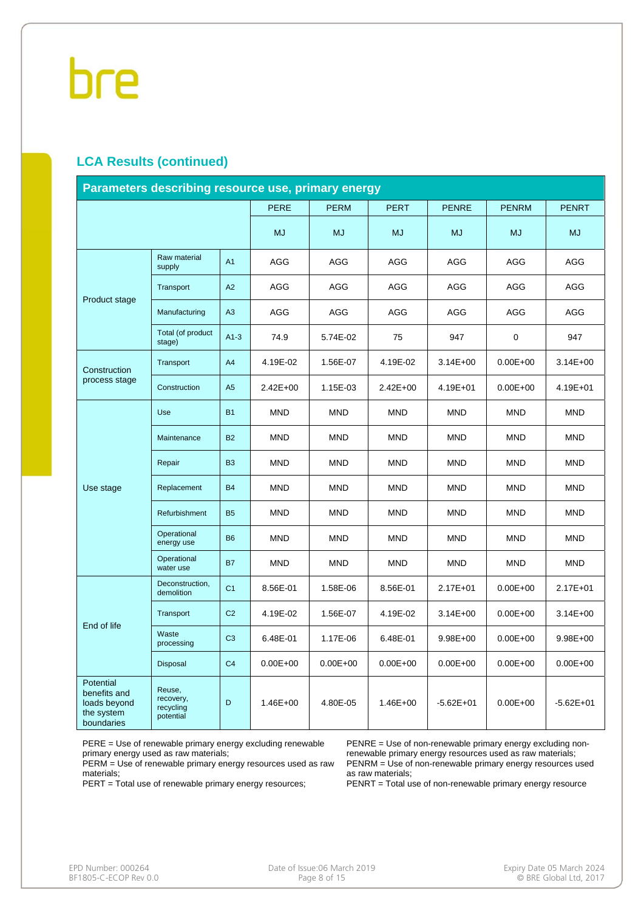#### **LCA Results (continued)**

| Parameters describing resource use, primary energy                    |                                               |                |              |              |              |               |              |               |  |  |
|-----------------------------------------------------------------------|-----------------------------------------------|----------------|--------------|--------------|--------------|---------------|--------------|---------------|--|--|
|                                                                       |                                               |                | <b>PERE</b>  | <b>PERM</b>  | <b>PERT</b>  | <b>PENRE</b>  | <b>PENRM</b> | <b>PENRT</b>  |  |  |
|                                                                       |                                               |                | <b>MJ</b>    | <b>MJ</b>    | <b>MJ</b>    | <b>MJ</b>     | <b>MJ</b>    | <b>MJ</b>     |  |  |
| Product stage                                                         | Raw material<br>supply                        | A <sub>1</sub> | AGG          | AGG          | AGG          | AGG           | AGG          | <b>AGG</b>    |  |  |
|                                                                       | Transport                                     | A2             | AGG          | AGG          | <b>AGG</b>   | <b>AGG</b>    | AGG          | <b>AGG</b>    |  |  |
|                                                                       | Manufacturing                                 | A3             | AGG          | AGG          | <b>AGG</b>   | <b>AGG</b>    | AGG          | <b>AGG</b>    |  |  |
|                                                                       | Total (of product<br>stage)                   | $A1-3$         | 74.9         | 5.74E-02     | 75           | 947           | 0            | 947           |  |  |
| Construction                                                          | Transport                                     | A <sub>4</sub> | 4.19E-02     | 1.56E-07     | 4.19E-02     | $3.14E + 00$  | $0.00E + 00$ | $3.14E + 00$  |  |  |
| process stage                                                         | Construction                                  | A5             | $2.42E + 00$ | 1.15E-03     | $2.42E + 00$ | 4.19E+01      | $0.00E + 00$ | 4.19E+01      |  |  |
|                                                                       | Use                                           | <b>B1</b>      | <b>MND</b>   | <b>MND</b>   | <b>MND</b>   | <b>MND</b>    | <b>MND</b>   | <b>MND</b>    |  |  |
|                                                                       | Maintenance                                   | <b>B2</b>      | <b>MND</b>   | <b>MND</b>   | <b>MND</b>   | <b>MND</b>    | <b>MND</b>   | <b>MND</b>    |  |  |
|                                                                       | Repair                                        | B <sub>3</sub> | <b>MND</b>   | <b>MND</b>   | <b>MND</b>   | <b>MND</b>    | <b>MND</b>   | <b>MND</b>    |  |  |
| Use stage                                                             | Replacement                                   | <b>B4</b>      | <b>MND</b>   | <b>MND</b>   | <b>MND</b>   | <b>MND</b>    | <b>MND</b>   | <b>MND</b>    |  |  |
|                                                                       | Refurbishment                                 | <b>B5</b>      | <b>MND</b>   | <b>MND</b>   | <b>MND</b>   | <b>MND</b>    | <b>MND</b>   | <b>MND</b>    |  |  |
|                                                                       | Operational<br>energy use                     | <b>B6</b>      | <b>MND</b>   | <b>MND</b>   | <b>MND</b>   | <b>MND</b>    | <b>MND</b>   | <b>MND</b>    |  |  |
|                                                                       | Operational<br>water use                      | <b>B7</b>      | <b>MND</b>   | <b>MND</b>   | <b>MND</b>   | <b>MND</b>    | <b>MND</b>   | <b>MND</b>    |  |  |
|                                                                       | Deconstruction.<br>demolition                 | C <sub>1</sub> | 8.56E-01     | 1.58E-06     | 8.56E-01     | $2.17E + 01$  | $0.00E + 00$ | 2.17E+01      |  |  |
|                                                                       | Transport                                     | C <sub>2</sub> | 4.19E-02     | 1.56E-07     | 4.19E-02     | $3.14E + 00$  | $0.00E + 00$ | $3.14E + 00$  |  |  |
| End of life                                                           | Waste<br>processing                           | C <sub>3</sub> | 6.48E-01     | 1.17E-06     | 6.48E-01     | $9.98E + 00$  | $0.00E + 00$ | 9.98E+00      |  |  |
|                                                                       | Disposal                                      | C <sub>4</sub> | $0.00E + 00$ | $0.00E + 00$ | $0.00E + 00$ | $0.00E + 00$  | $0.00E + 00$ | $0.00E + 00$  |  |  |
| Potential<br>benefits and<br>loads beyond<br>the system<br>boundaries | Reuse,<br>recovery,<br>recycling<br>potential | D              | $1.46E + 00$ | 4.80E-05     | $1.46E + 00$ | $-5.62E + 01$ | $0.00E + 00$ | $-5.62E + 01$ |  |  |

PERE = Use of renewable primary energy excluding renewable primary energy used as raw materials;

PERM = Use of renewable primary energy resources used as raw materials;

PERT = Total use of renewable primary energy resources;

PENRE = Use of non-renewable primary energy excluding nonrenewable primary energy resources used as raw materials; PENRM = Use of non-renewable primary energy resources used as raw materials;

PENRT = Total use of non-renewable primary energy resource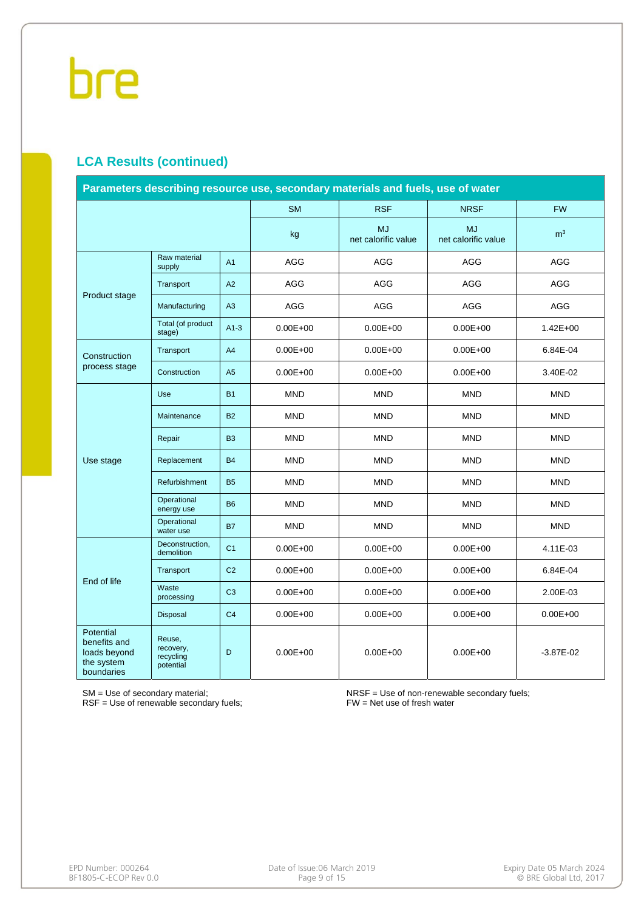#### **LCA Results (continued)**

| Parameters describing resource use, secondary materials and fuels, use of water |                                               |                |              |                                  |                                  |                |  |  |
|---------------------------------------------------------------------------------|-----------------------------------------------|----------------|--------------|----------------------------------|----------------------------------|----------------|--|--|
|                                                                                 |                                               |                | <b>SM</b>    | <b>RSF</b>                       | <b>NRSF</b>                      | <b>FW</b>      |  |  |
|                                                                                 |                                               |                | kg           | <b>MJ</b><br>net calorific value | <b>MJ</b><br>net calorific value | m <sup>3</sup> |  |  |
|                                                                                 | Raw material<br>supply                        | A <sub>1</sub> | AGG          | AGG                              | <b>AGG</b>                       | AGG            |  |  |
| Product stage                                                                   | Transport                                     | A2             | AGG          | AGG                              | AGG                              | AGG            |  |  |
|                                                                                 | Manufacturing                                 | A3             | <b>AGG</b>   | AGG                              | AGG                              | AGG            |  |  |
|                                                                                 | Total (of product<br>stage)                   | $A1-3$         | $0.00E + 00$ | $0.00E + 00$                     | $0.00E + 00$                     | $1.42E + 00$   |  |  |
| Construction                                                                    | Transport                                     | A4             | $0.00E + 00$ | $0.00E + 00$                     | $0.00E + 00$                     | 6.84E-04       |  |  |
| process stage                                                                   | Construction<br>A <sub>5</sub>                |                | $0.00E + 00$ | $0.00E + 00$                     | $0.00E + 00$                     | 3.40E-02       |  |  |
|                                                                                 | Use                                           | <b>B1</b>      | <b>MND</b>   | <b>MND</b>                       | <b>MND</b>                       | <b>MND</b>     |  |  |
|                                                                                 | Maintenance                                   | <b>B2</b>      | <b>MND</b>   | <b>MND</b>                       | <b>MND</b>                       | <b>MND</b>     |  |  |
|                                                                                 | Repair                                        | B <sub>3</sub> | <b>MND</b>   | <b>MND</b>                       | <b>MND</b>                       | <b>MND</b>     |  |  |
| Use stage                                                                       | Replacement                                   | <b>B4</b>      | <b>MND</b>   | <b>MND</b>                       | <b>MND</b>                       | <b>MND</b>     |  |  |
|                                                                                 | Refurbishment                                 | <b>B5</b>      | <b>MND</b>   | <b>MND</b>                       | <b>MND</b>                       | <b>MND</b>     |  |  |
|                                                                                 | Operational<br>energy use                     | <b>B6</b>      | <b>MND</b>   | <b>MND</b>                       | <b>MND</b>                       | <b>MND</b>     |  |  |
|                                                                                 | Operational<br>water use                      | <b>B7</b>      | <b>MND</b>   | <b>MND</b>                       | <b>MND</b>                       | <b>MND</b>     |  |  |
|                                                                                 | Deconstruction,<br>demolition                 | C <sub>1</sub> | $0.00E + 00$ | $0.00E + 00$                     | $0.00E + 00$                     | 4.11E-03       |  |  |
| End of life                                                                     | Transport                                     | C <sub>2</sub> | $0.00E + 00$ | $0.00E + 00$                     | $0.00E + 00$                     | 6.84E-04       |  |  |
|                                                                                 | Waste<br>processing                           | C <sub>3</sub> | $0.00E + 00$ | $0.00E + 00$                     | $0.00E + 00$                     | 2.00E-03       |  |  |
|                                                                                 | Disposal                                      | C <sub>4</sub> | $0.00E + 00$ | $0.00E + 00$                     | $0.00E + 00$                     | $0.00E + 00$   |  |  |
| Potential<br>benefits and<br>loads beyond<br>the system<br>boundaries           | Reuse,<br>recovery,<br>recycling<br>potential | D              | $0.00E + 00$ | $0.00E + 00$                     | $0.00E + 00$                     | $-3.87E - 02$  |  |  |

SM = Use of secondary material;

RSF = Use of renewable secondary fuels;

NRSF = Use of non-renewable secondary fuels; FW = Net use of fresh water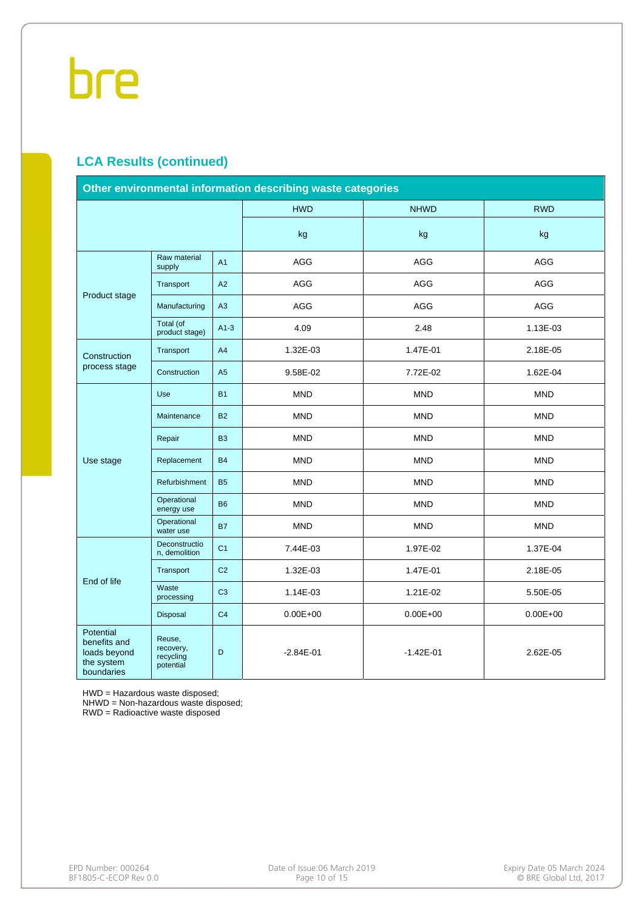#### **LCA Results (continued)**

| Other environmental information describing waste categories           |                                               |                |               |               |              |  |  |  |
|-----------------------------------------------------------------------|-----------------------------------------------|----------------|---------------|---------------|--------------|--|--|--|
|                                                                       |                                               |                | <b>HWD</b>    | <b>NHWD</b>   | <b>RWD</b>   |  |  |  |
|                                                                       |                                               | kg             | kg            | kg            |              |  |  |  |
|                                                                       | Raw material<br>supply                        |                | <b>AGG</b>    | <b>AGG</b>    | AGG          |  |  |  |
|                                                                       | Transport                                     | A2             | AGG           | AGG           | AGG          |  |  |  |
| Product stage                                                         | Manufacturing                                 | A3             | AGG           | AGG           | AGG          |  |  |  |
|                                                                       | Total (of<br>product stage)                   | $A1-3$         | 4.09          | 2.48          | 1.13E-03     |  |  |  |
| Construction                                                          | Transport                                     | A <sub>4</sub> | 1.32E-03      | 1.47E-01      | 2.18E-05     |  |  |  |
| process stage                                                         | Construction<br>A <sub>5</sub>                |                | 9.58E-02      | 7.72E-02      | 1.62E-04     |  |  |  |
|                                                                       | <b>Use</b>                                    | <b>B1</b>      | <b>MND</b>    | <b>MND</b>    | <b>MND</b>   |  |  |  |
|                                                                       | Maintenance                                   | <b>B2</b>      | <b>MND</b>    | <b>MND</b>    | <b>MND</b>   |  |  |  |
|                                                                       | Repair                                        | <b>B3</b>      | <b>MND</b>    | <b>MND</b>    | <b>MND</b>   |  |  |  |
| Use stage                                                             | Replacement                                   | <b>B4</b>      | <b>MND</b>    | <b>MND</b>    | <b>MND</b>   |  |  |  |
|                                                                       | Refurbishment                                 | <b>B5</b>      | <b>MND</b>    | <b>MND</b>    | <b>MND</b>   |  |  |  |
|                                                                       | Operational<br>energy use                     | <b>B6</b>      | <b>MND</b>    | <b>MND</b>    | <b>MND</b>   |  |  |  |
|                                                                       | Operational<br>water use                      | <b>B7</b>      | <b>MND</b>    | <b>MND</b>    | <b>MND</b>   |  |  |  |
|                                                                       | Deconstructio<br>n, demolition                | C <sub>1</sub> | 7.44E-03      | 1.97E-02      | 1.37E-04     |  |  |  |
| End of life                                                           | Transport                                     | C <sub>2</sub> | 1.32E-03      | 1.47E-01      | 2.18E-05     |  |  |  |
|                                                                       | Waste<br>processing                           | C <sub>3</sub> | 1.14E-03      | 1.21E-02      | 5.50E-05     |  |  |  |
|                                                                       | Disposal                                      | C <sub>4</sub> | $0.00E + 00$  | $0.00E + 00$  | $0.00E + 00$ |  |  |  |
| Potential<br>benefits and<br>loads beyond<br>the system<br>boundaries | Reuse,<br>recovery,<br>recycling<br>potential | D              | $-2.84E - 01$ | $-1.42E - 01$ | 2.62E-05     |  |  |  |

HWD = Hazardous waste disposed;

NHWD = Non-hazardous waste disposed;

RWD = Radioactive waste disposed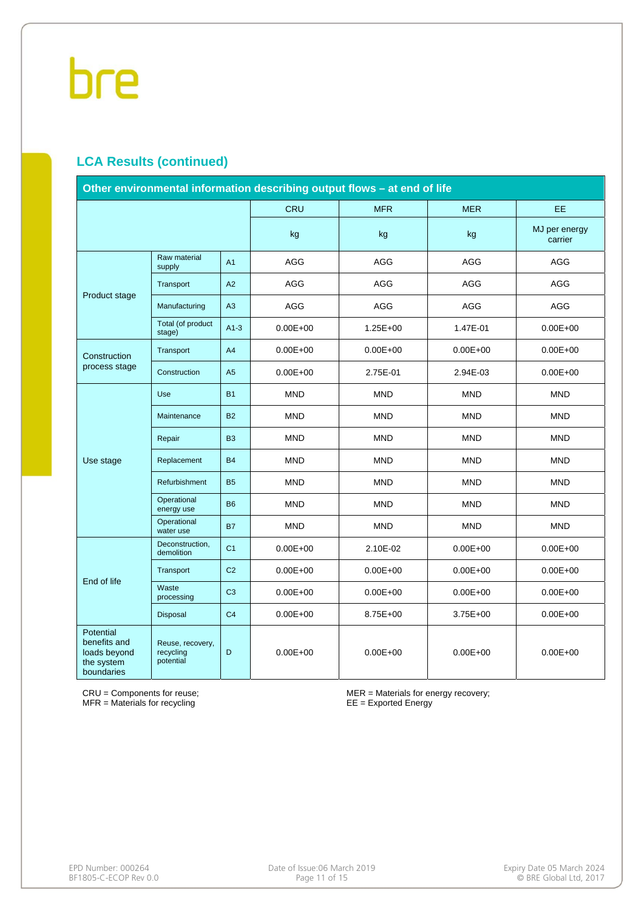#### **LCA Results (continued)**

| Other environmental information describing output flows - at end of life |                                            |                |              |              |              |                          |  |  |
|--------------------------------------------------------------------------|--------------------------------------------|----------------|--------------|--------------|--------------|--------------------------|--|--|
|                                                                          |                                            |                | CRU          | <b>MFR</b>   | <b>MER</b>   | EE.                      |  |  |
|                                                                          |                                            |                | kg           | kg           | kg           | MJ per energy<br>carrier |  |  |
|                                                                          | Raw material<br>supply                     | A <sub>1</sub> | <b>AGG</b>   | AGG          | AGG          | AGG                      |  |  |
| Product stage                                                            | Transport                                  | A2             | <b>AGG</b>   | <b>AGG</b>   | <b>AGG</b>   | <b>AGG</b>               |  |  |
|                                                                          | Manufacturing                              | A3             | AGG          | <b>AGG</b>   | <b>AGG</b>   | <b>AGG</b>               |  |  |
|                                                                          | Total (of product<br>stage)                | $A1-3$         | $0.00E + 00$ | $1.25E + 00$ | 1.47E-01     | $0.00E + 00$             |  |  |
| Construction                                                             | Transport                                  | A4             | $0.00E + 00$ | $0.00E + 00$ | $0.00E + 00$ | $0.00E + 00$             |  |  |
| process stage                                                            | Construction                               | A <sub>5</sub> | $0.00E + 00$ | 2.75E-01     | 2.94E-03     | $0.00E + 00$             |  |  |
|                                                                          | <b>Use</b>                                 | <b>B1</b>      | <b>MND</b>   | <b>MND</b>   | <b>MND</b>   | <b>MND</b>               |  |  |
|                                                                          | Maintenance                                | <b>B2</b>      | <b>MND</b>   | <b>MND</b>   | <b>MND</b>   | <b>MND</b>               |  |  |
|                                                                          | Repair                                     | B <sub>3</sub> | <b>MND</b>   | <b>MND</b>   | <b>MND</b>   | <b>MND</b>               |  |  |
| Use stage                                                                | Replacement                                | <b>B4</b>      | <b>MND</b>   | <b>MND</b>   | <b>MND</b>   | <b>MND</b>               |  |  |
|                                                                          | Refurbishment                              | <b>B5</b>      | <b>MND</b>   | <b>MND</b>   | <b>MND</b>   | <b>MND</b>               |  |  |
|                                                                          | Operational<br>energy use                  | <b>B6</b>      | <b>MND</b>   | <b>MND</b>   | <b>MND</b>   | <b>MND</b>               |  |  |
|                                                                          | Operational<br>water use                   | <b>B7</b>      | <b>MND</b>   | <b>MND</b>   | <b>MND</b>   | <b>MND</b>               |  |  |
|                                                                          | Deconstruction,<br>demolition              | C <sub>1</sub> | $0.00E + 00$ | 2.10E-02     | $0.00E + 00$ | $0.00E + 00$             |  |  |
| End of life                                                              | Transport                                  | C <sub>2</sub> | $0.00E + 00$ | $0.00E + 00$ | $0.00E + 00$ | $0.00E + 00$             |  |  |
|                                                                          | Waste<br>processing                        | C <sub>3</sub> | $0.00E + 00$ | $0.00E + 00$ | $0.00E + 00$ | $0.00E + 00$             |  |  |
|                                                                          | Disposal                                   | C <sub>4</sub> | $0.00E + 00$ | 8.75E+00     | $3.75E + 00$ | $0.00E + 00$             |  |  |
| Potential<br>benefits and<br>loads beyond<br>the system<br>boundaries    | Reuse, recovery,<br>recycling<br>potential | D              | $0.00E + 00$ | $0.00E + 00$ | $0.00E + 00$ | $0.00E + 00$             |  |  |

CRU = Components for reuse; MFR = Materials for recycling

MER = Materials for energy recovery; EE = Exported Energy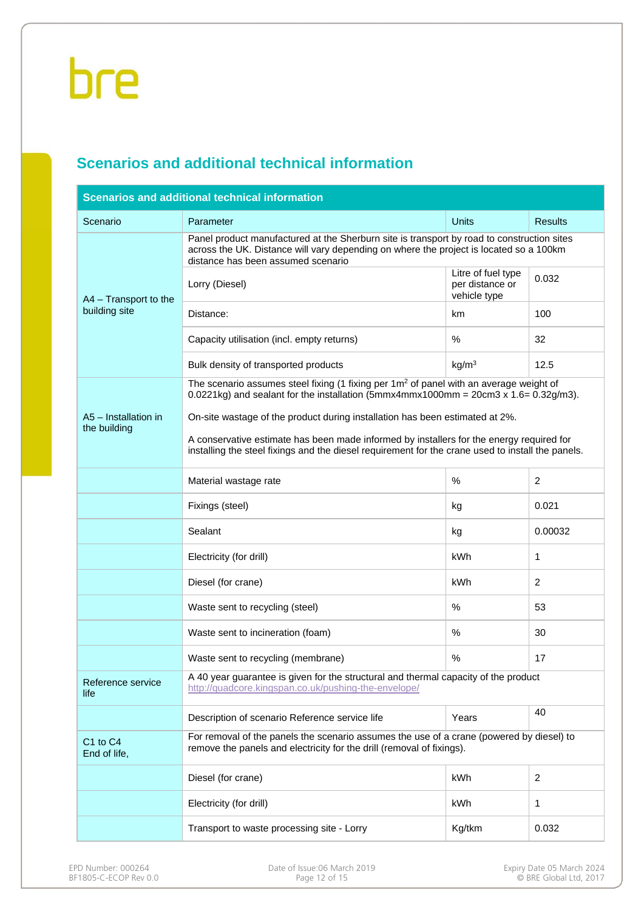#### **Scenarios and additional technical information**

| <b>Scenarios and additional technical information</b> |                                                                                                                                                                                                                            |                                                       |                |  |  |  |  |  |
|-------------------------------------------------------|----------------------------------------------------------------------------------------------------------------------------------------------------------------------------------------------------------------------------|-------------------------------------------------------|----------------|--|--|--|--|--|
| Scenario                                              | Parameter                                                                                                                                                                                                                  | <b>Units</b>                                          | <b>Results</b> |  |  |  |  |  |
|                                                       | Panel product manufactured at the Sherburn site is transport by road to construction sites<br>across the UK. Distance will vary depending on where the project is located so a 100km<br>distance has been assumed scenario |                                                       |                |  |  |  |  |  |
| A4 - Transport to the                                 | Lorry (Diesel)                                                                                                                                                                                                             | Litre of fuel type<br>per distance or<br>vehicle type | 0.032          |  |  |  |  |  |
| building site                                         | Distance:                                                                                                                                                                                                                  | km                                                    | 100            |  |  |  |  |  |
|                                                       | Capacity utilisation (incl. empty returns)                                                                                                                                                                                 | %                                                     | 32             |  |  |  |  |  |
|                                                       | Bulk density of transported products                                                                                                                                                                                       | kg/m <sup>3</sup>                                     | 12.5           |  |  |  |  |  |
|                                                       | The scenario assumes steel fixing (1 fixing per 1m <sup>2</sup> of panel with an average weight of<br>$0.0221$ kg) and sealant for the installation (5mmx4mmx1000mm = $20$ cm $3 \times 1.6 = 0.32$ g/m $3$ ).             |                                                       |                |  |  |  |  |  |
| A5 - Installation in<br>the building                  | On-site wastage of the product during installation has been estimated at 2%.                                                                                                                                               |                                                       |                |  |  |  |  |  |
|                                                       | A conservative estimate has been made informed by installers for the energy required for<br>installing the steel fixings and the diesel requirement for the crane used to install the panels.                              |                                                       |                |  |  |  |  |  |
|                                                       | Material wastage rate                                                                                                                                                                                                      | %                                                     | $\overline{c}$ |  |  |  |  |  |
|                                                       | Fixings (steel)                                                                                                                                                                                                            | kg                                                    | 0.021          |  |  |  |  |  |
|                                                       | Sealant                                                                                                                                                                                                                    | kg                                                    | 0.00032        |  |  |  |  |  |
|                                                       | Electricity (for drill)                                                                                                                                                                                                    | kWh                                                   | $\mathbf{1}$   |  |  |  |  |  |
|                                                       | Diesel (for crane)                                                                                                                                                                                                         | kWh                                                   | $\overline{2}$ |  |  |  |  |  |
|                                                       | Waste sent to recycling (steel)                                                                                                                                                                                            | $\%$                                                  | 53             |  |  |  |  |  |
|                                                       | Waste sent to incineration (foam)                                                                                                                                                                                          | %                                                     | 30             |  |  |  |  |  |
|                                                       | Waste sent to recycling (membrane)                                                                                                                                                                                         | $\%$                                                  | 17             |  |  |  |  |  |
| Reference service<br>life                             | A 40 year guarantee is given for the structural and thermal capacity of the product<br>http://quadcore.kingspan.co.uk/pushing-the-envelope/                                                                                |                                                       |                |  |  |  |  |  |
|                                                       | Description of scenario Reference service life                                                                                                                                                                             | Years                                                 | 40             |  |  |  |  |  |
| C <sub>1</sub> to C <sub>4</sub><br>End of life,      | For removal of the panels the scenario assumes the use of a crane (powered by diesel) to<br>remove the panels and electricity for the drill (removal of fixings).                                                          |                                                       |                |  |  |  |  |  |
|                                                       | Diesel (for crane)                                                                                                                                                                                                         | kWh                                                   | 2              |  |  |  |  |  |
|                                                       | Electricity (for drill)                                                                                                                                                                                                    | kWh                                                   | 1              |  |  |  |  |  |
|                                                       | Transport to waste processing site - Lorry                                                                                                                                                                                 | Kg/tkm                                                | 0.032          |  |  |  |  |  |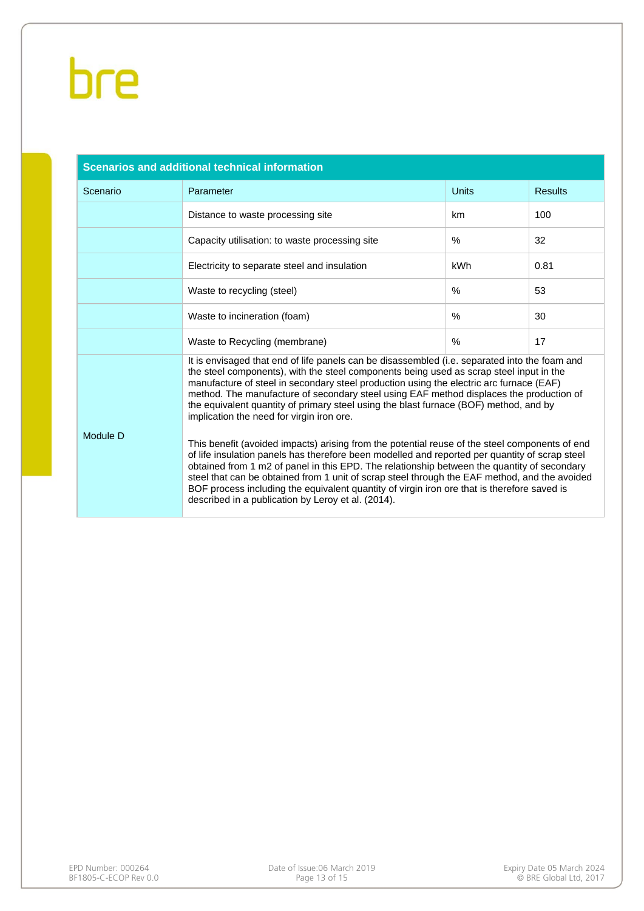| <b>Scenarios and additional technical information</b> |                                                                                                                                                                                                                                                                                                                                                                                                                                                                                                                                                                                                                                                                                                                                                                                                                                                                                                                                                                                                                                                                               |              |                |  |  |  |  |
|-------------------------------------------------------|-------------------------------------------------------------------------------------------------------------------------------------------------------------------------------------------------------------------------------------------------------------------------------------------------------------------------------------------------------------------------------------------------------------------------------------------------------------------------------------------------------------------------------------------------------------------------------------------------------------------------------------------------------------------------------------------------------------------------------------------------------------------------------------------------------------------------------------------------------------------------------------------------------------------------------------------------------------------------------------------------------------------------------------------------------------------------------|--------------|----------------|--|--|--|--|
| Scenario                                              | Parameter                                                                                                                                                                                                                                                                                                                                                                                                                                                                                                                                                                                                                                                                                                                                                                                                                                                                                                                                                                                                                                                                     | <b>Units</b> | <b>Results</b> |  |  |  |  |
|                                                       | Distance to waste processing site                                                                                                                                                                                                                                                                                                                                                                                                                                                                                                                                                                                                                                                                                                                                                                                                                                                                                                                                                                                                                                             | km           | 100            |  |  |  |  |
|                                                       | Capacity utilisation: to waste processing site                                                                                                                                                                                                                                                                                                                                                                                                                                                                                                                                                                                                                                                                                                                                                                                                                                                                                                                                                                                                                                | $\%$         | 32             |  |  |  |  |
|                                                       | Electricity to separate steel and insulation                                                                                                                                                                                                                                                                                                                                                                                                                                                                                                                                                                                                                                                                                                                                                                                                                                                                                                                                                                                                                                  | <b>kWh</b>   | 0.81           |  |  |  |  |
|                                                       | Waste to recycling (steel)                                                                                                                                                                                                                                                                                                                                                                                                                                                                                                                                                                                                                                                                                                                                                                                                                                                                                                                                                                                                                                                    | $\%$         | 53             |  |  |  |  |
|                                                       | Waste to incineration (foam)                                                                                                                                                                                                                                                                                                                                                                                                                                                                                                                                                                                                                                                                                                                                                                                                                                                                                                                                                                                                                                                  | %            | 30             |  |  |  |  |
|                                                       | Waste to Recycling (membrane)                                                                                                                                                                                                                                                                                                                                                                                                                                                                                                                                                                                                                                                                                                                                                                                                                                                                                                                                                                                                                                                 | $\%$         | 17             |  |  |  |  |
| Module D                                              | It is envisaged that end of life panels can be disassembled (i.e. separated into the foam and<br>the steel components), with the steel components being used as scrap steel input in the<br>manufacture of steel in secondary steel production using the electric arc furnace (EAF)<br>method. The manufacture of secondary steel using EAF method displaces the production of<br>the equivalent quantity of primary steel using the blast furnace (BOF) method, and by<br>implication the need for virgin iron ore.<br>This benefit (avoided impacts) arising from the potential reuse of the steel components of end<br>of life insulation panels has therefore been modelled and reported per quantity of scrap steel<br>obtained from 1 m2 of panel in this EPD. The relationship between the quantity of secondary<br>steel that can be obtained from 1 unit of scrap steel through the EAF method, and the avoided<br>BOF process including the equivalent quantity of virgin iron ore that is therefore saved is<br>described in a publication by Leroy et al. (2014). |              |                |  |  |  |  |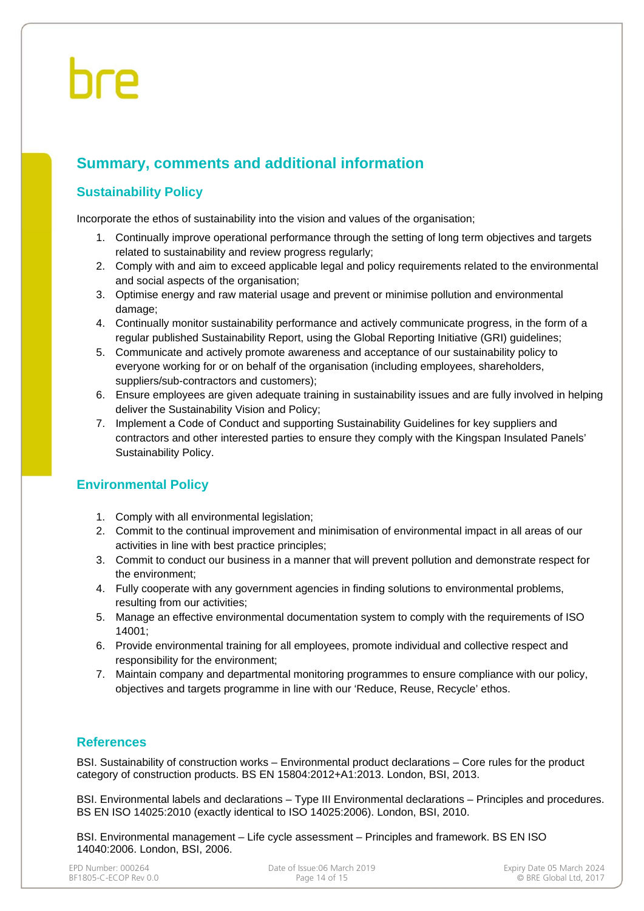#### **Summary, comments and additional information**

#### **Sustainability Policy**

Incorporate the ethos of sustainability into the vision and values of the organisation;

- 1. Continually improve operational performance through the setting of long term objectives and targets related to sustainability and review progress regularly;
- 2. Comply with and aim to exceed applicable legal and policy requirements related to the environmental and social aspects of the organisation;
- 3. Optimise energy and raw material usage and prevent or minimise pollution and environmental damage;
- 4. Continually monitor sustainability performance and actively communicate progress, in the form of a regular published Sustainability Report, using the Global Reporting Initiative (GRI) guidelines;
- 5. Communicate and actively promote awareness and acceptance of our sustainability policy to everyone working for or on behalf of the organisation (including employees, shareholders, suppliers/sub-contractors and customers);
- 6. Ensure employees are given adequate training in sustainability issues and are fully involved in helping deliver the Sustainability Vision and Policy;
- 7. Implement a Code of Conduct and supporting Sustainability Guidelines for key suppliers and contractors and other interested parties to ensure they comply with the Kingspan Insulated Panels' Sustainability Policy.

#### **Environmental Policy**

- 1. Comply with all environmental legislation;
- 2. Commit to the continual improvement and minimisation of environmental impact in all areas of our activities in line with best practice principles;
- 3. Commit to conduct our business in a manner that will prevent pollution and demonstrate respect for the environment;
- 4. Fully cooperate with any government agencies in finding solutions to environmental problems, resulting from our activities;
- 5. Manage an effective environmental documentation system to comply with the requirements of ISO 14001;
- 6. Provide environmental training for all employees, promote individual and collective respect and responsibility for the environment;
- 7. Maintain company and departmental monitoring programmes to ensure compliance with our policy, objectives and targets programme in line with our 'Reduce, Reuse, Recycle' ethos.

#### **References**

BSI. Sustainability of construction works – Environmental product declarations – Core rules for the product category of construction products. BS EN 15804:2012+A1:2013. London, BSI, 2013.

BSI. Environmental labels and declarations – Type III Environmental declarations – Principles and procedures. BS EN ISO 14025:2010 (exactly identical to ISO 14025:2006). London, BSI, 2010.

BSI. Environmental management – Life cycle assessment – Principles and framework. BS EN ISO 14040:2006. London, BSI, 2006.

| EPD Number: 000264    | Date of Issue:06 March 2019 | Expiry Date 05 March 2024 |
|-----------------------|-----------------------------|---------------------------|
| BF1805-C-ECOP Rev 0.0 | Page 14 of 15               | © BRE Global Ltd. 2017    |
|                       |                             |                           |